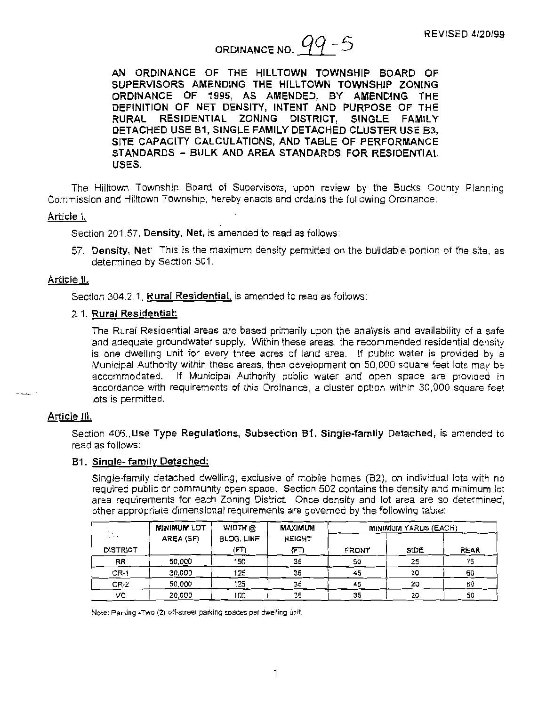# ORDINANCE NO.  $99 - 5$

**AN ORDINANCE OF THE HILLTOWN TOWNSHIP BOARD OF**  SUPERVISORS AMENDING THE HILLTOWN TOWNSHIP ZONING **ORDINANCE OF 1995, AS AMENDED, BY AMENDING THE DEFINITION OF NET DENSITY, INTENT AND PURPOSE OF THE RURAL RESIDENTIAL ZONING DISTRICT, SINGLE FAMILY DETACHED USE 81, SINGLE FAMILY DETACHED CLUSTER USE 83, SITE CAPACITY CALCULATIONS, ANO TABLE OF PERFORMANCE STANDARDS** - **BULK AND AREA STANDARDS FOR RESIDENTIAL USES.** 

The Hilltown Township Board of Supervisors, upon review by the Bucks County Planning Commission and Hilltown Township, hereby enacts and ordains the following Ordinance:

## **Article** I.

Section 201.57, **Density, Net,** is amended to read as follows:

57. Density, Net: This is the maximum density permitted on the buildable portion of the site, as determined by Section 501.

# **Article** II.

Section 304.2.1 , **Rural Residential.** is amended to read as follows:

### 2.1. **Rural Residential:**

The Rural Residential areas are based primarily upon the analysis and availability of a safe and adequate groundwater supply. Within these areas, the recommended residential density is one dwelling unit for every three acres of land area. If public water is provided by a Municipal Authority within these areas, then development on 50,000 square feet lots may be accommodated. If Municipal Authority public water and open space are provided in accordance with requirements of this Ordinance, a cluster option within 30,000 square feet Jots is permitted.

### Article Ill.

Section 406.,Use Type Regulations, Subsection 81. Single-family Detached, is amended to read as follows:

## **81. Single-family Detached:**

Single-family detached dwelling, exclusive of mobile homes (82), on individual lots with no required public or community open space. Section 502 contains the density and minimum lot area requirements for each Zoning District. Once density and lot area are so determined, other appropriate dimensional requirements are governed by the following table:

|                 | <b>MINIMUM LOT</b> | WIDTH @           | MAXIMUM       | <b>MINIMUM YARDS (EACH)</b> |      |      |  |
|-----------------|--------------------|-------------------|---------------|-----------------------------|------|------|--|
| .               | AREA (SF)          | <b>BLDG, LINE</b> | <b>HEIGHT</b> |                             |      |      |  |
| <b>DISTRICT</b> |                    | (FT)              | (FT)          | <b>FRONT</b>                | SIDE | REAR |  |
| RR              | 50,000             | 150               | 35            | 50                          | 25   | 75   |  |
| $CR-1$          | 30,000             | 125               | 35            | 45                          | 20   | 60   |  |
| $CR-2$          | 50,000             | 125               | 35            | 45                          | 20   | 60   |  |
| vc              | 20.000             | 100               | 35            | 35                          | 20   | 50   |  |

Note: Parking -Two (2) off-street parking spaces per dwelling unit.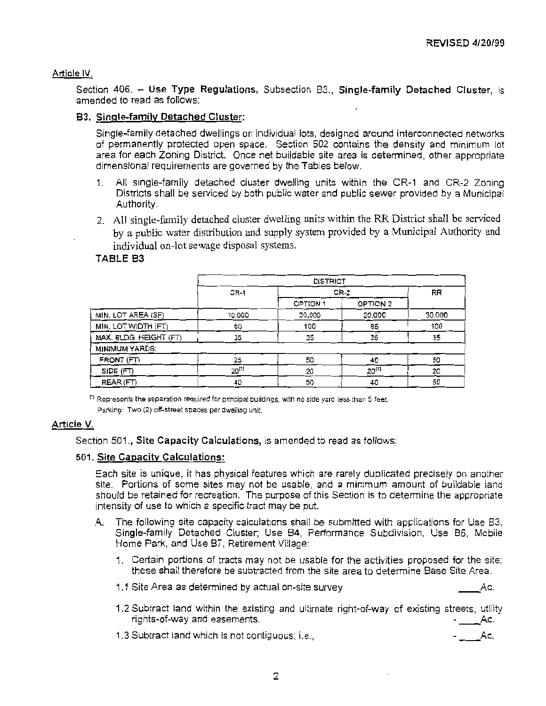## **Article IV.**

Section 406. - Use Type Regulations, Subsection B3., Single-family Detached Cluster, is amended to read as follows:

## **83. Singte~family Detached Cluster:**

Single-family detached dwellings on individual lots, designed around interconnected networks of permanently protected open space. Section 502 contains the density and minimum lot area for each Zoning District. Once net buildable site area is determined, other appropriate dimensional requirements are governed by the Tables below.

- 1. All single-family detached cluster dwelling units within the CR-1 and CR-2 Zoning Districts shall be serviced by both public water and public sewer provided by a Municipal Authority.
- 2. All single-family detached cluster dwelling units within the RR District shall be serviced by a public water distribution and supply system provided by a Municipal Authority and individual on-lot sewage disposal systems.

## **TABLE 83**

|                        |            | <b>DISTRICT</b> |            |           |  |
|------------------------|------------|-----------------|------------|-----------|--|
|                        | $CR-1$     | CR-2            |            | <b>RR</b> |  |
|                        |            | <b>OPTION 1</b> | OPTION 2   |           |  |
| MIN. LOT AREA (SF)     | 10,000     | 30,000          | 20,000     | 30,000    |  |
| MIN. LOT WIDTH (FT)    | 60         | 100             | 85         | 100       |  |
| MAX. BLDG. HEIGHT (FT) | 35         | 35              | 35         | 35        |  |
| MINIMUM YARDS:         |            |                 |            |           |  |
| FRONT (FT)             | 25         | 50              | 40         | 50        |  |
| SIDE (FT)              | $20^{(1)}$ | 20              | $20^{(1)}$ | 20        |  |
| REAR (FT)              | 40         | 50              | 40         | 50        |  |

<sup>tt)</sup> Represents the separation required for principal buildings, with no side yard less than 5 feet.

Parking: Two (2) off-street spaces per dwelling unit.

# **Article V.**

Section 501 ., **Site Capacity Calculations,** is amended to read as follows:

### **501 . Site Capacity Calculations:**

Each site is unique, it has physical features which are rarely duplicated precisely on another site. Portions of some sites may not be usable, and a minimum amount of buildable land should be retained for recreation. The purpose of this Section is to determine the appropriate intensity of use to which a specific tract may be put.

- A The following site capacity calculations shall be submitted with applications for Use B3, Single-family Detached Cluster; Use 84, Performance Subdivision, Use 86, Mobile Home Park, and Use 87, Retirement Village:
	- 1. Certain portions of tracts may not be usable for the activities proposed for the site: these shall therefore be subtracted from the site area to determine Base Site Area.
	- 1.1 Site Area as determined by actual on-site survey example to the same control of the Ac.
	- 1.2 Subtract land within the existing and ultimate right-of-way of existing streets, utility rights-of-way and easements. rights-of-way and easements.<br>1.3 Subtract land which is not contiguous: i.e., \_\_\_\_\_\_\_\_\_\_\_\_\_\_\_\_\_\_\_\_\_\_\_\_\_\_\_\_\_\_\_\_Ac.
	-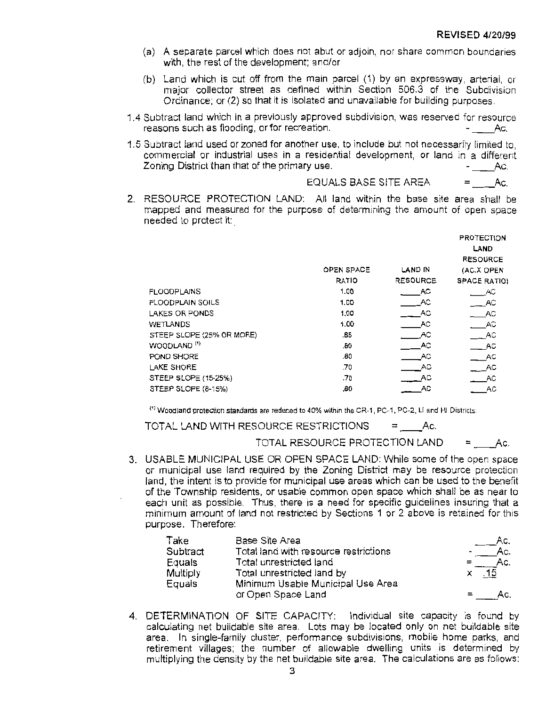- (a) A separate parcel which does not abut or adjoin, nor share common boundaries with, the rest of the development; and/or
- {b) Land which is cut off from the main parcel (1) by an expressway, arterial, or major collector street as defined within Section 506.3 of the Subdivision Ordinance; or (2) so that it is isolated and unavailable for building purposes.
- 1 .4 Subtract land which in a previously approved subdivision. was reserved for resource reasons such as flooding, or for recreation. \_\_ Ac.
- 1.5 Subtract land used or zoned for another use. to include but not necessarily limited to, commercial or industrial uses in a residential development, or land in a different Zoning District than that of the primary use. \_\_ Ac.  $\begin{array}{ccc} \text{y use.} & - \_\_ \text{AC.} \\ \text{EQUALS BASE SITE AREA} & = & \text{Ac.} \end{array}$

2. RESOURCE PROTECTION LAND: All land within the base site area shall be mapped and measured for the purpose of determining the amount of open space needed to protect it:

|                           |                   |                 | <b>PROTECTION</b>   |
|---------------------------|-------------------|-----------------|---------------------|
|                           |                   |                 | LAND                |
|                           |                   |                 | <b>RESOURCE</b>     |
|                           | <b>OPEN SPACE</b> | LAND IN         | (AC.X OPEN          |
|                           | <b>RATIO</b>      | <b>RESOURCE</b> | <b>SPACE RATIOI</b> |
| <b>FLOODPLAINS</b>        | 1.00              | AC.             | AC                  |
| <b>FLOODPLAIN SOILS</b>   | 1.00              | AC              | $-$ AC              |
| LAKES OR PONDS            | 1.00              | AC              | - AC                |
| <b>WETLANDS</b>           | 1.00              | AC.             | - AC                |
| STEEP SLOPE (25% OR MORE) | .65               | - AC            | - AC                |
| WOODLAND <sup>(1)</sup>   | .80               | AC              | AC                  |
| POND SHORE                | .80               | AC.             | - AC                |
| LAKE SHORE                | .70               | AC              | - AC                |
| STEEP SLOPE (15-25%)      | .70               | - AC            | - AC                |
| STEEP SLOPE (8-15%)       | .60               | AC              | АC                  |

<sup>11</sup>> Woodland protection **standards are** reduced to 40% within the CR-1, PC-1, PC-2, LI and HI Districts.

TOTAL LAND WITH RESOURCE RESTRICTIONS **= \_\_ Ac.** 

TOTAL RESOURCE PROTECTION LAND **= \_\_ Ac.** 

- 
- 3. USABLE MUNICIPAL USE OR OPEN SPACE LAND: While some of the open space or municipal use land required by the Zoning District may be resource protection land, the intent is to provide for municipal use areas which can be used to the benefit of the Township residents, or usable common open space which shall be as near to each unit as possible. Thus, there is a need for specific guidelines insuring that a minimum amount of land not restricted by Sections 1 or 2 above is retained for this purpose. Therefore:

| Take     | Base Site Area                        | Ac.     |
|----------|---------------------------------------|---------|
| Subtract | Total land with resource restrictions | Ac.     |
| Equals   | Total unrestricted land               | Ac.     |
| Multiply | Total unrestricted land by            | $x$ .15 |
| Equals   | Minimum Usable Municipal Use Area     |         |
|          | or Open Space Land                    |         |

4. DETERMINATION OF SITE CAPACITY: Individual site capacity is found by calculating net buildable site area. Lots may be located only on net buildable site area. In single-family cluster, performance subdivisions, mobile home parks, and retirement villages; the number of allowable dwelling units is determined by multiplying the density by the net buildable site area. The calculations are as follows: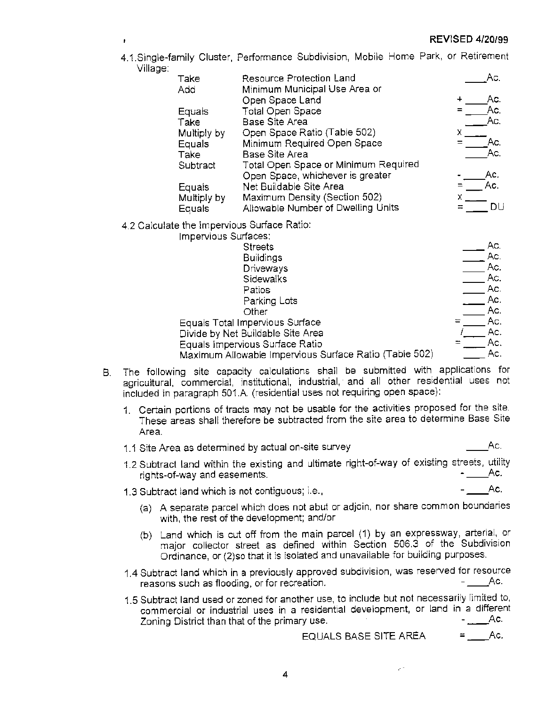# **REVISED 4/20/99**

4.1.Single-family Cluster, Performance Subdivision, Mobile Home Park, or Retirement Village:

| Take        | <b>Resource Protection Land</b>      | Ac. |
|-------------|--------------------------------------|-----|
| Add         | Minimum Municipal Use Area or        |     |
|             | Open Space Land                      | Ac. |
| Equals      | Total Open Space                     | Ac. |
| Take        | <b>Base Site Area</b>                | Ac. |
| Multiply by | Open Space Ratio (Table 502)         |     |
| Equals      | Minimum Required Open Space          | Ac. |
| Take        | Base Site Area                       | Ac. |
| Subtract    | Total Open Space or Minimum Required |     |
|             | Open Space, whichever is greater     | Ac, |
| Equals      | Net Buildable Site Area              |     |
| Multiply by | Maximum Density (Section 502)        |     |
| Equals      | Allowable Number of Dwelling Units   |     |
|             |                                      |     |
|             | te the Impervious Surface Ratio:     |     |
|             |                                      |     |

4.2 Calculat

| Impervious Surfaces:                                   |  |
|--------------------------------------------------------|--|
| <b>Streets</b>                                         |  |
| <b>Buildings</b>                                       |  |
| Driveways                                              |  |
| Sidewalks                                              |  |
| Patios                                                 |  |
| Parking Lots                                           |  |
| Other                                                  |  |
| Equals Total Impervious Surface                        |  |
| Divide by Net Buildable Site Area                      |  |
| Equals Impervious Surface Ratio                        |  |
| Maximum Allowable Impervious Surface Ratio (Table 502) |  |

- B. The following site capacity calculations shall be submitted with applications for agricultural, commercial, institutional, industrial, and all other residential uses not included in paragraph 501.A. (residential uses not requiring open space):
	- 1. Certain portions of tracts may not be usable for the activities proposed for the site. These areas shall therefore be subtracted from the site area to determine Base Site Area.
	- 1.1 Site Area as determined by actual on-site survey example and the same state. Ac.
	- 1.2 Subtract land within the existing and ultimate right-of-way of existing streets, utility rights-of-way and easements. 1.3 Subtract !and which is not contiguous; i.e., \_\_ Ac.
	-

Ac. Ac. Ac. Ac. Ac. Ac. Ac. Ac.  $Ac.$ Ac. Ac.

- (a) A separate parcel which does not abut or adjoin, nor share common boundaries with, the rest of the development; and/or
- (b) Land which is cut off from the main parcel (1) by an expressway, arterial, or major collector street as defined within Section 506.3 of the Subdivision Ordinance, or (2)so that it is isolated and unavailable for building purposes.
- 1.4 Subtract land which in a previously approved subdivision, was reserved for resource<br>reasons such as flooding, or for recreation.
- 1.5 Subtract land used or zoned for another use, to include but not necessarily limited to, commercial or industrial uses in a residential development, or land in a different Zoning District than that of the primary use. \_\_ Ac. . Ac. - ـــــــــ Zoning District than that of the primary use.<br>.EQUALS BASE SITE AREA = = \_\_\_\_\_Ac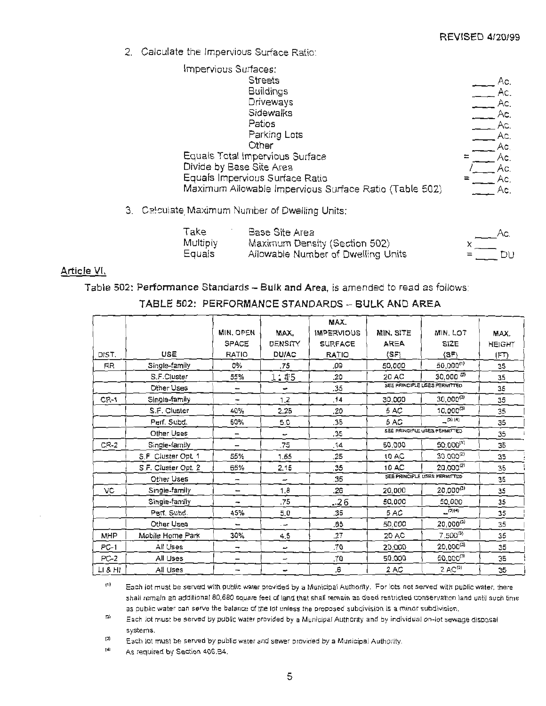DU

2. Calculate the Impervious Surface Ratio:

| Impervious Surfaces:                                   |     |
|--------------------------------------------------------|-----|
| <b>Streets</b>                                         | Ac. |
| <b>Buildings</b>                                       | Ac. |
| Driveways                                              | Ac. |
| Sidewalks                                              | Ac. |
| Patios                                                 | Ac. |
| Parking Lots                                           | Ac. |
| Other                                                  | Ac. |
| Equals Total Impervious Surface                        | Ac. |
| Divide by Base Site Area                               | Ac. |
| Equals Impervious Surface Ratio                        | Ac. |
| Maximum Allowable Impervious Surface Ratio (Table 502) | Ac. |

3. Calculate Maximum Number of Dwelling Units:

| Take     | Base Site Area                     | ______Ac. |    |
|----------|------------------------------------|-----------|----|
| Multiply | Maximum Density (Section 502)      |           |    |
| Equals   | Allowable Number of Dwelling Units | $=$       | DU |

# Article VI.

Table 502: Performance Standards - Bulk and Area, is amended to read as follows:

TABLE 502: PERFORMANCE STANDARDS - BULK AND AREA

|             |                     |                          |                          | MAX.              |             |                              |               |
|-------------|---------------------|--------------------------|--------------------------|-------------------|-------------|------------------------------|---------------|
|             |                     | MIN, OPEN                | MAX,                     | <b>IMPERVIOUS</b> | MIN. SITE   | MIN. LOT                     | MAX.          |
|             |                     | SPACE                    | DENSITY                  | <b>SURFACE</b>    | <b>AREA</b> | SIZE                         | <b>HEIGHT</b> |
| DIST.       | <b>USE</b>          | RATIO                    | <b>DU/AC</b>             | RATIO             | $\{SF\}$    | (SF)                         | (FT)          |
| <b>RR</b>   | Single-family       | 0%                       | .75                      | .09               | 50,000      | 50,000(1)                    | 35            |
|             | S.F.Cluster         | 55%                      | 1:45                     | .20               | 20 AC       | $30,000^{(2)}$               | 35            |
|             | Other Uses          |                          | $\overline{\phantom{0}}$ | .35               |             | SEE PRINCIPLE USES PERMITTED | 35            |
| <b>CR-1</b> | Single-family       | $\overline{ }$           | 1.2                      | .14               | 30,000      | $30,000^{(3)}$               | 35            |
|             | S.F. Cluster        | 40%                      | 2.25                     | .20               | 5 AC        | $10,000^{(3)}$               | 35            |
|             | Perf. Subd.         | 50%                      | 5.0                      | .35               | 5 AC        | $-$ (3) (4)                  | 35            |
|             | Other Uses          | $\overline{\phantom{0}}$ | $\overline{\phantom{0}}$ | .35               |             | SEE PRINCIPLE USES PERMITTED | 35            |
| $CR-2$      | Single-family       | $\overline{\phantom{0}}$ | .75                      | .14               | 50,000      | 50,000(1)                    | 35            |
|             | S.F Cluster Opt. 1  | 55%                      | 1.65                     | .25               | 10 AC       | $30.000^{(2)}$               | 35            |
|             | S.F. Cluster Opt. 2 | 65%                      | 2.15                     | .35               | 10 AC       | 20,000 <sup>(2)</sup>        | 35            |
|             | Other Uses          | $\overline{\phantom{a}}$ | —                        | .35               |             | SEE PRINCIPLE USES PERMITTED | 35            |
| VĊ          | Single-family       | $\overline{\phantom{0}}$ | 1.8                      | .26               | 20,000      | $20,000^{(3)}$               | 35            |
|             | Single-family       |                          | .75                      | $-26$             | 50,000      | 50.000                       | 35            |
|             | Perf. Subd.         | 45%                      | 5.0                      | .35               | 5 AC        | (3)(4)                       | 35            |
|             | Other Uses          | -                        | $\overline{a}$           | .65               | 50,000      | 20,000(3)                    | 35            |
| MHP         | Mobile Home Park    | 30%                      | 4.5                      | .27               | 20 AC       | 7,500(3)                     | 35            |
| $PC-1$      | All Uses            | -                        | مسد                      | .70               | 20,000      | $20,000^{(3)}$               | 35            |
| PC-2        | All Uses            | $\overline{\phantom{m}}$ | -                        | 70.               | 50,000      | $50,000^{(3)}$               | 35            |
| LI & HI     | All Uses            | $\overline{\phantom{a}}$ | $\blacksquare$           | .6                | 2 AC        | $2 AC^{(3)}$                 | 35            |

(f) Each lot must be served with public water provided by a Municipal Authority. For lots not served with public water, there shall remain an additional 80,680 souare feet of land that shall remain as deed restricted conservation land until such time as public water can serve the balance of the lot unless the proposed subdivision is a minor subdivision.

2) Each lot must be served by public water provided by a Municipal Authority and by individual on-lot sewage disposal system**s**.

J) Each lot must be served by public water and sewer provided by a Municipal Authority.

 $^{(4)}$ As required by Section 406.B4.